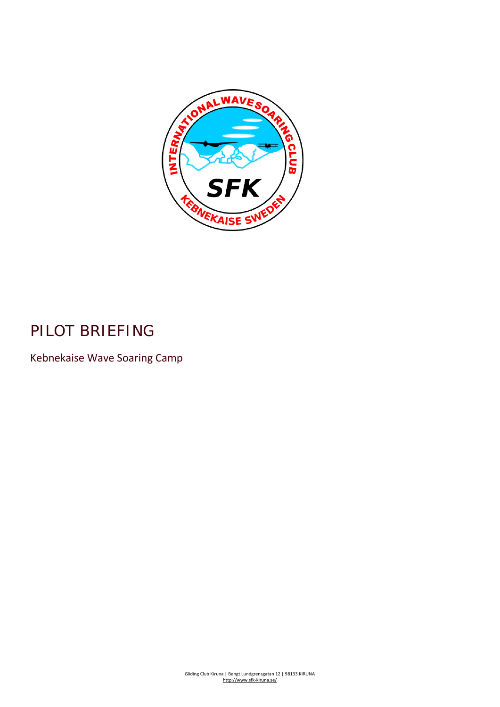

# PILOT BRIEFING

Kebnekaise Wave Soaring Camp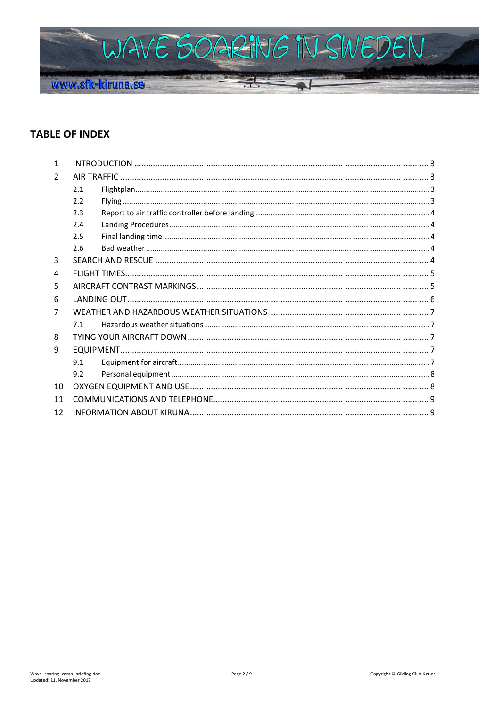

# **TABLE OF INDEX**

| 1             |     |  |  |
|---------------|-----|--|--|
| $\mathcal{L}$ |     |  |  |
|               | 2.1 |  |  |
|               | 2.2 |  |  |
|               | 2.3 |  |  |
|               | 2.4 |  |  |
|               | 2.5 |  |  |
|               | 2.6 |  |  |
| 3             |     |  |  |
| 4             |     |  |  |
| 5             |     |  |  |
| 6             |     |  |  |
| 7             |     |  |  |
|               | 7.1 |  |  |
| 8             |     |  |  |
| 9             |     |  |  |
|               | 9.1 |  |  |
|               | 9.2 |  |  |
| 10            |     |  |  |
| 11            |     |  |  |
| 12            |     |  |  |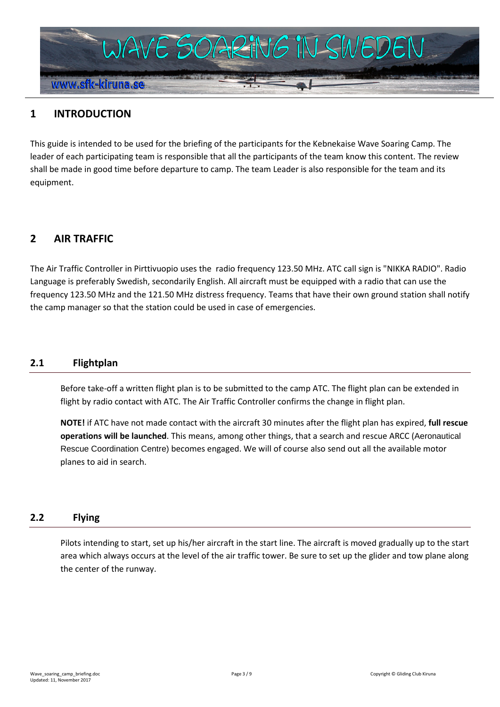

# <span id="page-2-0"></span>**1 INTRODUCTION**

This guide is intended to be used for the briefing of the participants for the Kebnekaise Wave Soaring Camp. The leader of each participating team is responsible that all the participants of the team know this content. The review shall be made in good time before departure to camp. The team Leader is also responsible for the team and its equipment.

# <span id="page-2-1"></span>**2 AIR TRAFFIC**

The Air Traffic Controller in Pirttivuopio uses the radio frequency 123.50 MHz. ATC call sign is "NIKKA RADIO". Radio Language is preferably Swedish, secondarily English. All aircraft must be equipped with a radio that can use the frequency 123.50 MHz and the 121.50 MHz distress frequency. Teams that have their own ground station shall notify the camp manager so that the station could be used in case of emergencies.

#### <span id="page-2-2"></span>**2.1 Flightplan**

Before take-off a written flight plan is to be submitted to the camp ATC. The flight plan can be extended in flight by radio contact with ATC. The Air Traffic Controller confirms the change in flight plan.

**NOTE!** if ATC have not made contact with the aircraft 30 minutes after the flight plan has expired, **full rescue operations will be launched**. This means, among other things, that a search and rescue ARCC (Aeronautical Rescue Coordination Centre) becomes engaged. We will of course also send out all the available motor planes to aid in search.

### <span id="page-2-3"></span>**2.2 Flying**

Pilots intending to start, set up his/her aircraft in the start line. The aircraft is moved gradually up to the start area which always occurs at the level of the air traffic tower. Be sure to set up the glider and tow plane along the center of the runway.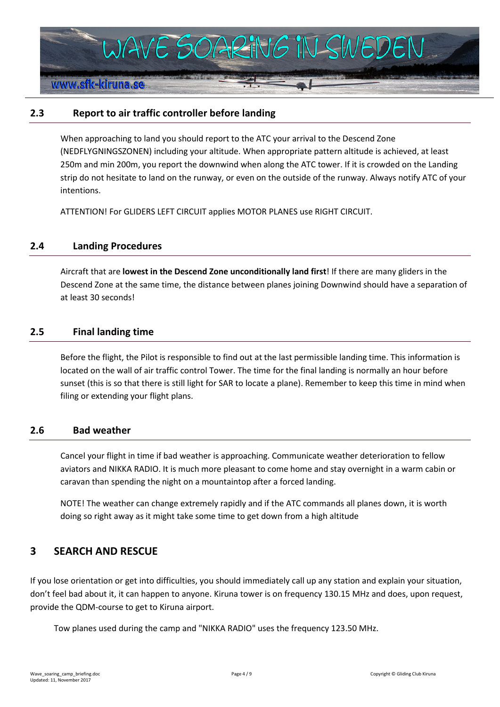

### <span id="page-3-0"></span>**2.3 Report to air traffic controller before landing**

When approaching to land you should report to the ATC your arrival to the Descend Zone (NEDFLYGNINGSZONEN) including your altitude. When appropriate pattern altitude is achieved, at least 250m and min 200m, you report the downwind when along the ATC tower. If it is crowded on the Landing strip do not hesitate to land on the runway, or even on the outside of the runway. Always notify ATC of your intentions.

ATTENTION! For GLIDERS LEFT CIRCUIT applies MOTOR PLANES use RIGHT CIRCUIT.

#### <span id="page-3-1"></span>**2.4 Landing Procedures**

Aircraft that are **lowest in the Descend Zone unconditionally land first**! If there are many gliders in the Descend Zone at the same time, the distance between planes joining Downwind should have a separation of at least 30 seconds!

#### <span id="page-3-2"></span>**2.5 Final landing time**

Before the flight, the Pilot is responsible to find out at the last permissible landing time. This information is located on the wall of air traffic control Tower. The time for the final landing is normally an hour before sunset (this is so that there is still light for SAR to locate a plane). Remember to keep this time in mind when filing or extending your flight plans.

#### <span id="page-3-3"></span>**2.6 Bad weather**

Cancel your flight in time if bad weather is approaching. Communicate weather deterioration to fellow aviators and NIKKA RADIO. It is much more pleasant to come home and stay overnight in a warm cabin or caravan than spending the night on a mountaintop after a forced landing.

NOTE! The weather can change extremely rapidly and if the ATC commands all planes down, it is worth doing so right away as it might take some time to get down from a high altitude

### <span id="page-3-4"></span>**3 SEARCH AND RESCUE**

If you lose orientation or get into difficulties, you should immediately call up any station and explain your situation, don't feel bad about it, it can happen to anyone. Kiruna tower is on frequency 130.15 MHz and does, upon request, provide the QDM-course to get to Kiruna airport.

Tow planes used during the camp and "NIKKA RADIO" uses the frequency 123.50 MHz.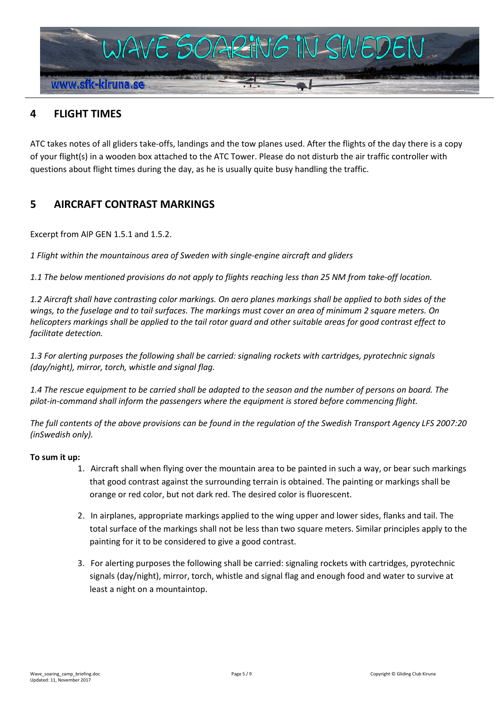

# <span id="page-4-0"></span>**4 FLIGHT TIMES**

ATC takes notes of all gliders take-offs, landings and the tow planes used. After the flights of the day there is a copy of your flight(s) in a wooden box attached to the ATC Tower. Please do not disturb the air traffic controller with questions about flight times during the day, as he is usually quite busy handling the traffic.

# <span id="page-4-1"></span>**5 AIRCRAFT CONTRAST MARKINGS**

Excerpt from AIP GEN 1.5.1 and 1.5.2.

*1 Flight within the mountainous area of Sweden with single-engine aircraft and gliders*

*1.1 The below mentioned provisions do not apply to flights reaching less than 25 NM from take-off location.*

*1.2 Aircraft shall have contrasting color markings. On aero planes markings shall be applied to both sides of the wings, to the fuselage and to tail surfaces. The markings must cover an area of minimum 2 square meters. On helicopters markings shall be applied to the tail rotor guard and other suitable areas for good contrast effect to facilitate detection.*

*1.3 For alerting purposes the following shall be carried: signaling rockets with cartridges, pyrotechnic signals (day/night), mirror, torch, whistle and signal flag.*

*1.4 The rescue equipment to be carried shall be adapted to the season and the number of persons on board. The pilot-in-command shall inform the passengers where the equipment is stored before commencing flight.*

*The full contents of the above provisions can be found in the regulation of the Swedish Transport Agency LFS 2007:20 (inSwedish only).*

#### **To sum it up:**

- 1. Aircraft shall when flying over the mountain area to be painted in such a way, or bear such markings that good contrast against the surrounding terrain is obtained. The painting or markings shall be orange or red color, but not dark red. The desired color is fluorescent.
- 2. In airplanes, appropriate markings applied to the wing upper and lower sides, flanks and tail. The total surface of the markings shall not be less than two square meters. Similar principles apply to the painting for it to be considered to give a good contrast.
- 3. For alerting purposes the following shall be carried: signaling rockets with cartridges, pyrotechnic signals (day/night), mirror, torch, whistle and signal flag and enough food and water to survive at least a night on a mountaintop.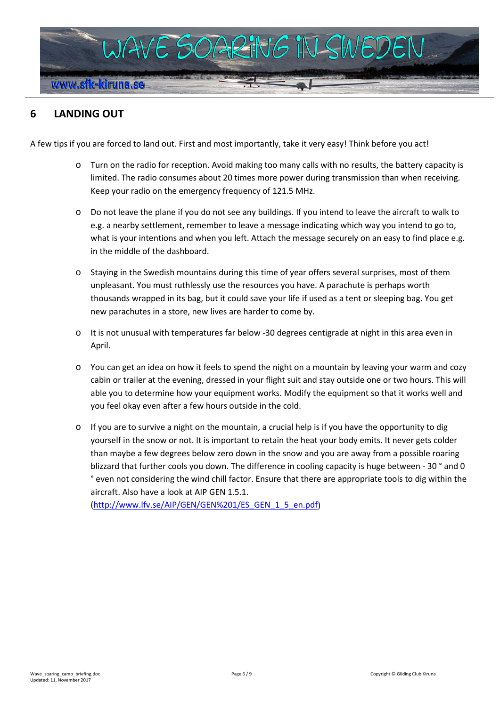

# <span id="page-5-0"></span>**6 LANDING OUT**

A few tips if you are forced to land out. First and most importantly, take it very easy! Think before you act!

- o Turn on the radio for reception. Avoid making too many calls with no results, the battery capacity is limited. The radio consumes about 20 times more power during transmission than when receiving. Keep your radio on the emergency frequency of 121.5 MHz.
- o Do not leave the plane if you do not see any buildings. If you intend to leave the aircraft to walk to e.g. a nearby settlement, remember to leave a message indicating which way you intend to go to, what is your intentions and when you left. Attach the message securely on an easy to find place e.g. in the middle of the dashboard.
- o Staying in the Swedish mountains during this time of year offers several surprises, most of them unpleasant. You must ruthlessly use the resources you have. A parachute is perhaps worth thousands wrapped in its bag, but it could save your life if used as a tent or sleeping bag. You get new parachutes in a store, new lives are harder to come by.
- o It is not unusual with temperatures far below -30 degrees centigrade at night in this area even in April.
- o You can get an idea on how it feels to spend the night on a mountain by leaving your warm and cozy cabin or trailer at the evening, dressed in your flight suit and stay outside one or two hours. This will able you to determine how your equipment works. Modify the equipment so that it works well and you feel okay even after a few hours outside in the cold.
- o If you are to survive a night on the mountain, a crucial help is if you have the opportunity to dig yourself in the snow or not. It is important to retain the heat your body emits. It never gets colder than maybe a few degrees below zero down in the snow and you are away from a possible roaring blizzard that further cools you down. The difference in cooling capacity is huge between - 30 ° and 0 ° even not considering the wind chill factor. Ensure that there are appropriate tools to dig within the aircraft. Also have a look at AIP GEN 1.5.1.

[\(http://www.lfv.se/AIP/GEN/GEN%201/ES\\_GEN\\_1\\_5\\_en.pdf\)](http://www.lfv.se/AIP/GEN/GEN%201/ES_GEN_1_5_en.pdf)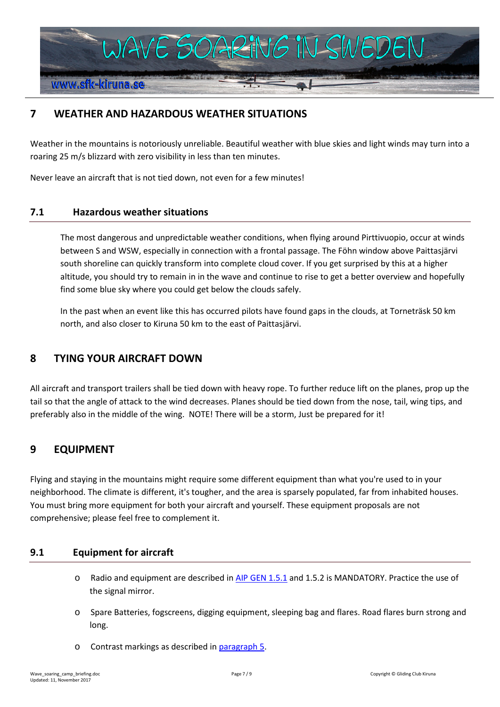

# <span id="page-6-0"></span>**7 WEATHER AND HAZARDOUS WEATHER SITUATIONS**

Weather in the mountains is notoriously unreliable. Beautiful weather with blue skies and light winds may turn into a roaring 25 m/s blizzard with zero visibility in less than ten minutes.

Never leave an aircraft that is not tied down, not even for a few minutes!

### <span id="page-6-1"></span>**7.1 Hazardous weather situations**

The most dangerous and unpredictable weather conditions, when flying around Pirttivuopio, occur at winds between S and WSW, especially in connection with a frontal passage. The Föhn window above Paittasjärvi south shoreline can quickly transform into complete cloud cover. If you get surprised by this at a higher altitude, you should try to remain in in the wave and continue to rise to get a better overview and hopefully find some blue sky where you could get below the clouds safely.

In the past when an event like this has occurred pilots have found gaps in the clouds, at Torneträsk 50 km north, and also closer to Kiruna 50 km to the east of Paittasjärvi.

### <span id="page-6-2"></span>**8 TYING YOUR AIRCRAFT DOWN**

All aircraft and transport trailers shall be tied down with heavy rope. To further reduce lift on the planes, prop up the tail so that the angle of attack to the wind decreases. Planes should be tied down from the nose, tail, wing tips, and preferably also in the middle of the wing. NOTE! There will be a storm, Just be prepared for it!

# <span id="page-6-3"></span>**9 EQUIPMENT**

Flying and staying in the mountains might require some different equipment than what you're used to in your neighborhood. The climate is different, it's tougher, and the area is sparsely populated, far from inhabited houses. You must bring more equipment for both your aircraft and yourself. These equipment proposals are not comprehensive; please feel free to complement it.

### <span id="page-6-4"></span>**9.1 Equipment for aircraft**

- o Radio and equipment are described i[n AIP GEN 1.5.1](http://www.lfv.se/AIP/GEN/GEN%201/ES_GEN_1_5_en.pdf) and 1.5.2 is MANDATORY. Practice the use of the signal mirror.
- o Spare Batteries, fogscreens, digging equipment, sleeping bag and flares. Road flares burn strong and long.
- o Contrast markings as described in [paragraph 5.](#page-4-1)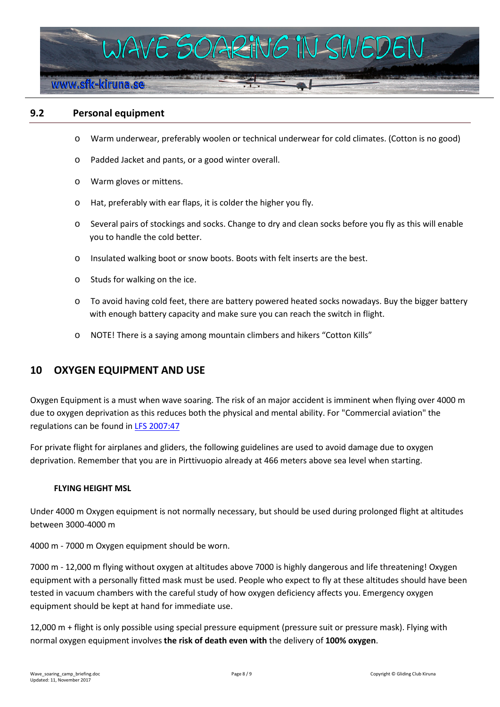

### <span id="page-7-0"></span>**9.2 Personal equipment**

- o Warm underwear, preferably woolen or technical underwear for cold climates. (Cotton is no good)
- o Padded Jacket and pants, or a good winter overall.
- o Warm gloves or mittens.
- o Hat, preferably with ear flaps, it is colder the higher you fly.
- o Several pairs of stockings and socks. Change to dry and clean socks before you fly as this will enable you to handle the cold better.
- o Insulated walking boot or snow boots. Boots with felt inserts are the best.
- o Studs for walking on the ice.
- o To avoid having cold feet, there are battery powered heated socks nowadays. Buy the bigger battery with enough battery capacity and make sure you can reach the switch in flight.
- o NOTE! There is a saying among mountain climbers and hikers "Cotton Kills"

### <span id="page-7-1"></span>**10 OXYGEN EQUIPMENT AND USE**

Oxygen Equipment is a must when wave soaring. The risk of an major accident is imminent when flying over 4000 m due to oxygen deprivation as this reduces both the physical and mental ability. For "Commercial aviation" the regulations can be found in **LFS 2007:47** 

For private flight for airplanes and gliders, the following guidelines are used to avoid damage due to oxygen deprivation. Remember that you are in Pirttivuopio already at 466 meters above sea level when starting.

#### **FLYING HEIGHT MSL**

Under 4000 m Oxygen equipment is not normally necessary, but should be used during prolonged flight at altitudes between 3000-4000 m

4000 m - 7000 m Oxygen equipment should be worn.

7000 m - 12,000 m flying without oxygen at altitudes above 7000 is highly dangerous and life threatening! Oxygen equipment with a personally fitted mask must be used. People who expect to fly at these altitudes should have been tested in vacuum chambers with the careful study of how oxygen deficiency affects you. Emergency oxygen equipment should be kept at hand for immediate use.

12,000 m + flight is only possible using special pressure equipment (pressure suit or pressure mask). Flying with normal oxygen equipment involves **the risk of death even with** the delivery of **100% oxygen**.